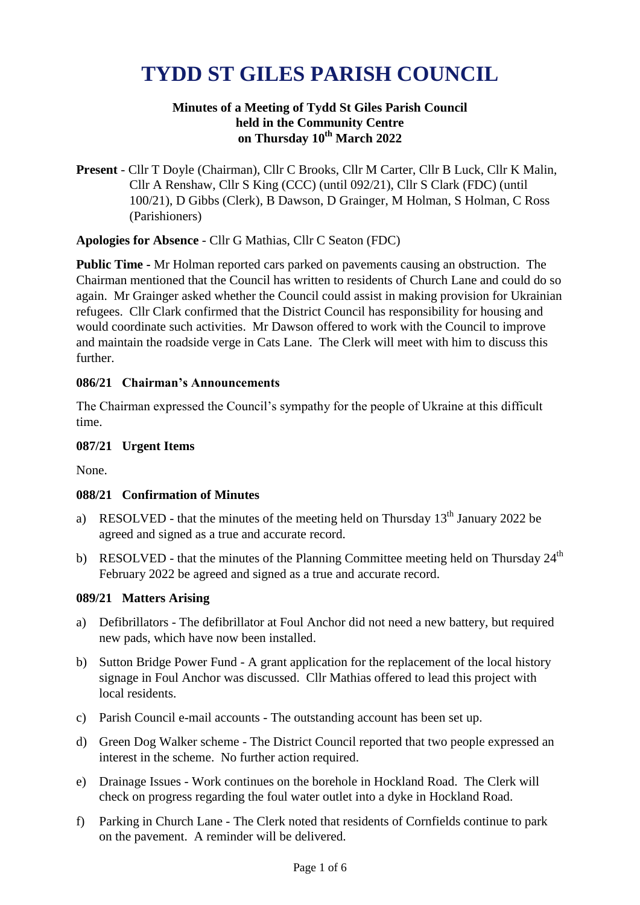# **TYDD ST GILES PARISH COUNCIL**

## **Minutes of a Meeting of Tydd St Giles Parish Council held in the Community Centre on Thursday 10 th March 2022**

**Present** - Cllr T Doyle (Chairman), Cllr C Brooks, Cllr M Carter, Cllr B Luck, Cllr K Malin, Cllr A Renshaw, Cllr S King (CCC) (until 092/21), Cllr S Clark (FDC) (until 100/21), D Gibbs (Clerk), B Dawson, D Grainger, M Holman, S Holman, C Ross (Parishioners)

**Apologies for Absence** - Cllr G Mathias, Cllr C Seaton (FDC)

**Public Time -** Mr Holman reported cars parked on pavements causing an obstruction. The Chairman mentioned that the Council has written to residents of Church Lane and could do so again. Mr Grainger asked whether the Council could assist in making provision for Ukrainian refugees. Cllr Clark confirmed that the District Council has responsibility for housing and would coordinate such activities. Mr Dawson offered to work with the Council to improve and maintain the roadside verge in Cats Lane. The Clerk will meet with him to discuss this further.

## **086/21 Chairman's Announcements**

The Chairman expressed the Council's sympathy for the people of Ukraine at this difficult time.

#### **087/21 Urgent Items**

None.

## **088/21 Confirmation of Minutes**

- a) RESOLVED that the minutes of the meeting held on Thursday  $13<sup>th</sup>$  January 2022 be agreed and signed as a true and accurate record.
- b) RESOLVED that the minutes of the Planning Committee meeting held on Thursday  $24<sup>th</sup>$ February 2022 be agreed and signed as a true and accurate record.

#### **089/21 Matters Arising**

- a) Defibrillators The defibrillator at Foul Anchor did not need a new battery, but required new pads, which have now been installed.
- b) Sutton Bridge Power Fund A grant application for the replacement of the local history signage in Foul Anchor was discussed. Cllr Mathias offered to lead this project with local residents.
- c) Parish Council e-mail accounts The outstanding account has been set up.
- d) Green Dog Walker scheme The District Council reported that two people expressed an interest in the scheme. No further action required.
- e) Drainage Issues Work continues on the borehole in Hockland Road. The Clerk will check on progress regarding the foul water outlet into a dyke in Hockland Road.
- f) Parking in Church Lane The Clerk noted that residents of Cornfields continue to park on the pavement. A reminder will be delivered.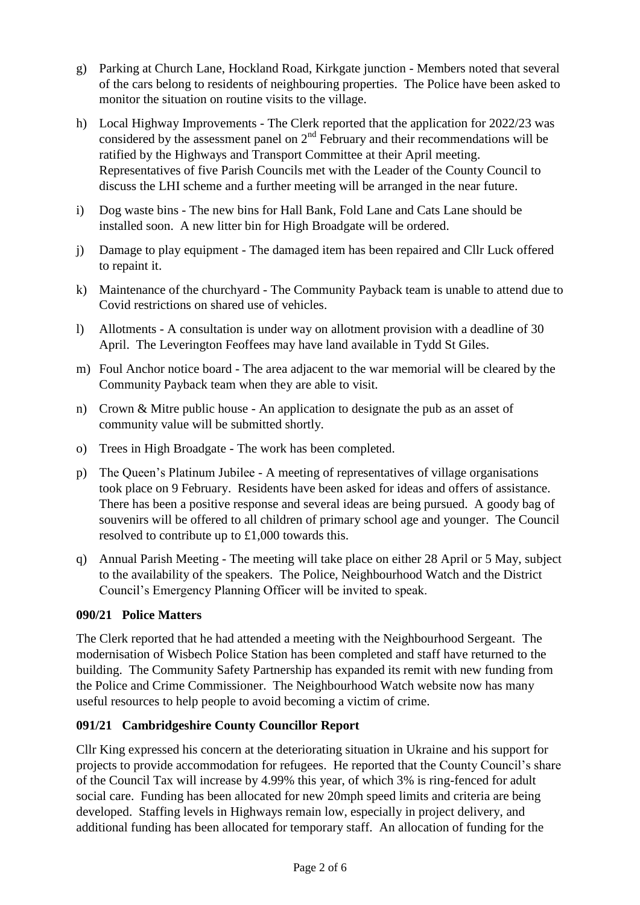- g) Parking at Church Lane, Hockland Road, Kirkgate junction Members noted that several of the cars belong to residents of neighbouring properties. The Police have been asked to monitor the situation on routine visits to the village.
- h) Local Highway Improvements The Clerk reported that the application for 2022/23 was considered by the assessment panel on  $2<sup>nd</sup>$  February and their recommendations will be ratified by the Highways and Transport Committee at their April meeting. Representatives of five Parish Councils met with the Leader of the County Council to discuss the LHI scheme and a further meeting will be arranged in the near future.
- i) Dog waste bins The new bins for Hall Bank, Fold Lane and Cats Lane should be installed soon. A new litter bin for High Broadgate will be ordered.
- j) Damage to play equipment The damaged item has been repaired and Cllr Luck offered to repaint it.
- k) Maintenance of the churchyard The Community Payback team is unable to attend due to Covid restrictions on shared use of vehicles.
- l) Allotments A consultation is under way on allotment provision with a deadline of 30 April. The Leverington Feoffees may have land available in Tydd St Giles.
- m) Foul Anchor notice board The area adjacent to the war memorial will be cleared by the Community Payback team when they are able to visit.
- n) Crown & Mitre public house An application to designate the pub as an asset of community value will be submitted shortly.
- o) Trees in High Broadgate The work has been completed.
- p) The Queen's Platinum Jubilee A meeting of representatives of village organisations took place on 9 February. Residents have been asked for ideas and offers of assistance. There has been a positive response and several ideas are being pursued. A goody bag of souvenirs will be offered to all children of primary school age and younger. The Council resolved to contribute up to £1,000 towards this.
- q) Annual Parish Meeting The meeting will take place on either 28 April or 5 May, subject to the availability of the speakers. The Police, Neighbourhood Watch and the District Council's Emergency Planning Officer will be invited to speak.

## **090/21 Police Matters**

The Clerk reported that he had attended a meeting with the Neighbourhood Sergeant. The modernisation of Wisbech Police Station has been completed and staff have returned to the building. The Community Safety Partnership has expanded its remit with new funding from the Police and Crime Commissioner. The Neighbourhood Watch website now has many useful resources to help people to avoid becoming a victim of crime.

# **091/21 Cambridgeshire County Councillor Report**

Cllr King expressed his concern at the deteriorating situation in Ukraine and his support for projects to provide accommodation for refugees. He reported that the County Council's share of the Council Tax will increase by 4.99% this year, of which 3% is ring-fenced for adult social care. Funding has been allocated for new 20mph speed limits and criteria are being developed. Staffing levels in Highways remain low, especially in project delivery, and additional funding has been allocated for temporary staff. An allocation of funding for the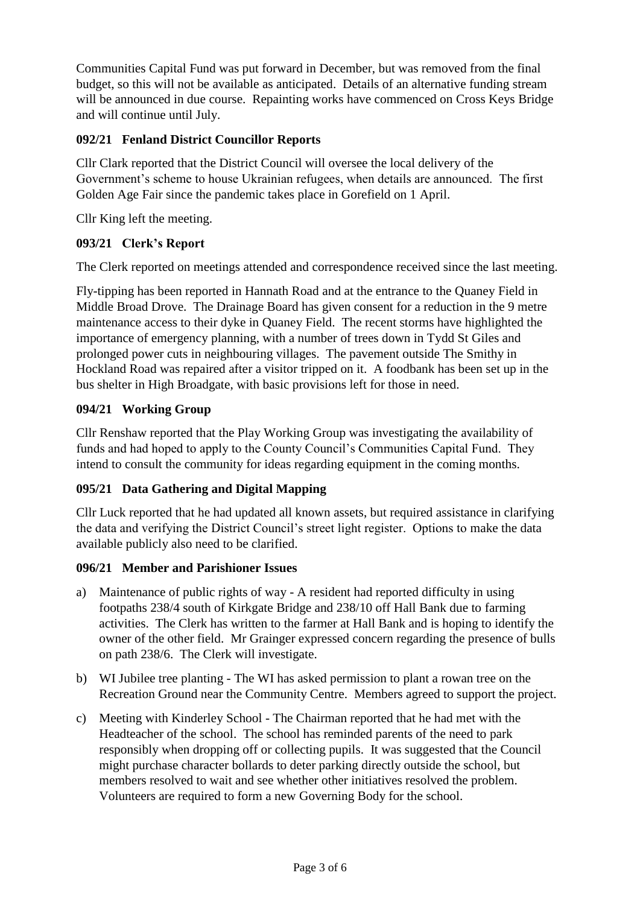Communities Capital Fund was put forward in December, but was removed from the final budget, so this will not be available as anticipated. Details of an alternative funding stream will be announced in due course. Repainting works have commenced on Cross Keys Bridge and will continue until July.

# **092/21 Fenland District Councillor Reports**

Cllr Clark reported that the District Council will oversee the local delivery of the Government's scheme to house Ukrainian refugees, when details are announced. The first Golden Age Fair since the pandemic takes place in Gorefield on 1 April.

Cllr King left the meeting.

# **093/21 Clerk's Report**

The Clerk reported on meetings attended and correspondence received since the last meeting.

Fly-tipping has been reported in Hannath Road and at the entrance to the Quaney Field in Middle Broad Drove. The Drainage Board has given consent for a reduction in the 9 metre maintenance access to their dyke in Quaney Field. The recent storms have highlighted the importance of emergency planning, with a number of trees down in Tydd St Giles and prolonged power cuts in neighbouring villages. The pavement outside The Smithy in Hockland Road was repaired after a visitor tripped on it. A foodbank has been set up in the bus shelter in High Broadgate, with basic provisions left for those in need.

# **094/21 Working Group**

Cllr Renshaw reported that the Play Working Group was investigating the availability of funds and had hoped to apply to the County Council's Communities Capital Fund. They intend to consult the community for ideas regarding equipment in the coming months.

# **095/21 Data Gathering and Digital Mapping**

Cllr Luck reported that he had updated all known assets, but required assistance in clarifying the data and verifying the District Council's street light register. Options to make the data available publicly also need to be clarified.

# **096/21 Member and Parishioner Issues**

- a) Maintenance of public rights of way A resident had reported difficulty in using footpaths 238/4 south of Kirkgate Bridge and 238/10 off Hall Bank due to farming activities. The Clerk has written to the farmer at Hall Bank and is hoping to identify the owner of the other field. Mr Grainger expressed concern regarding the presence of bulls on path 238/6. The Clerk will investigate.
- b) WI Jubilee tree planting The WI has asked permission to plant a rowan tree on the Recreation Ground near the Community Centre. Members agreed to support the project.
- c) Meeting with Kinderley School The Chairman reported that he had met with the Headteacher of the school. The school has reminded parents of the need to park responsibly when dropping off or collecting pupils. It was suggested that the Council might purchase character bollards to deter parking directly outside the school, but members resolved to wait and see whether other initiatives resolved the problem. Volunteers are required to form a new Governing Body for the school.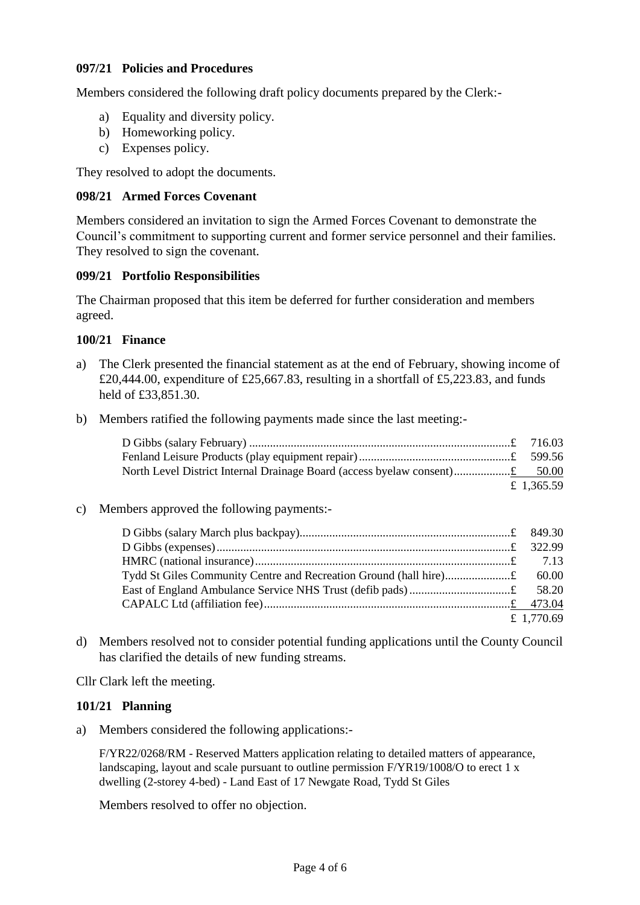## **097/21 Policies and Procedures**

Members considered the following draft policy documents prepared by the Clerk:-

- a) Equality and diversity policy.
- b) Homeworking policy.
- c) Expenses policy.

They resolved to adopt the documents.

#### **098/21 Armed Forces Covenant**

Members considered an invitation to sign the Armed Forces Covenant to demonstrate the Council's commitment to supporting current and former service personnel and their families. They resolved to sign the covenant.

## **099/21 Portfolio Responsibilities**

The Chairman proposed that this item be deferred for further consideration and members agreed.

#### **100/21 Finance**

- a) The Clerk presented the financial statement as at the end of February, showing income of £20,444.00, expenditure of £25,667.83, resulting in a shortfall of £5,223.83, and funds held of £33,851.30.
- b) Members ratified the following payments made since the last meeting:-

| £ 1.365.59 |
|------------|

#### c) Members approved the following payments:-

| £ 1,770.69 |  |
|------------|--|

d) Members resolved not to consider potential funding applications until the County Council has clarified the details of new funding streams.

Cllr Clark left the meeting.

## **101/21 Planning**

a) Members considered the following applications:-

F/YR22/0268/RM - Reserved Matters application relating to detailed matters of appearance, landscaping, layout and scale pursuant to outline permission F/YR19/1008/O to erect 1 x dwelling (2-storey 4-bed) - Land East of 17 Newgate Road, Tydd St Giles

Members resolved to offer no objection.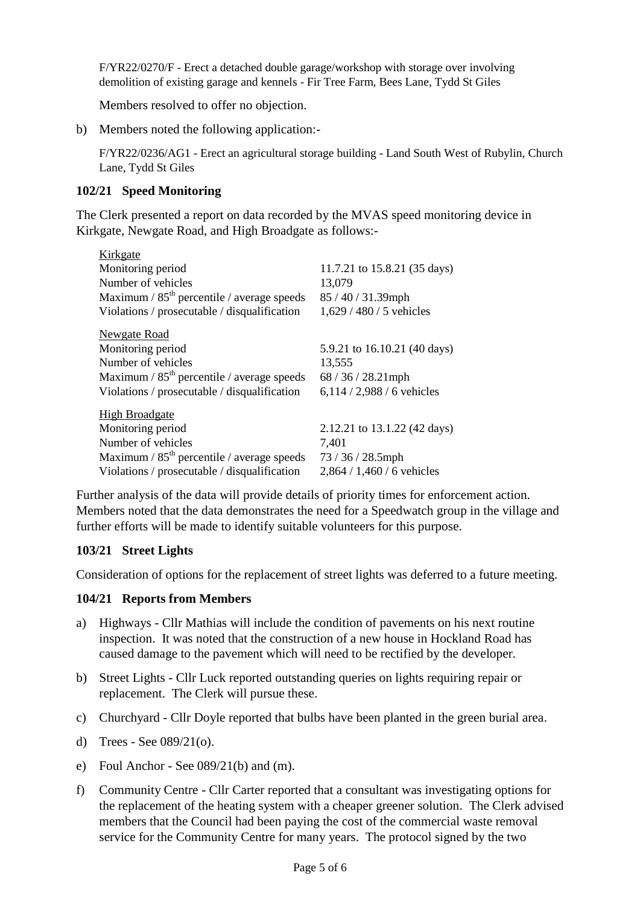F/YR22/0270/F - Erect a detached double garage/workshop with storage over involving demolition of existing garage and kennels - Fir Tree Farm, Bees Lane, Tydd St Giles

Members resolved to offer no objection.

b) Members noted the following application:-

F/YR22/0236/AG1 - Erect an agricultural storage building - Land South West of Rubylin, Church Lane, Tydd St Giles

## **102/21 Speed Monitoring**

The Clerk presented a report on data recorded by the MVAS speed monitoring device in Kirkgate, Newgate Road, and High Broadgate as follows:-

| Kirkgate                                     |                              |
|----------------------------------------------|------------------------------|
| Monitoring period                            | 11.7.21 to 15.8.21 (35 days) |
| Number of vehicles                           | 13,079                       |
| Maximum / $85th$ percentile / average speeds | $85/40/31.39$ mph            |
| Violations / prosecutable / disqualification | $1,629 / 480 / 5$ vehicles   |
| <b>Newgate Road</b>                          |                              |
| Monitoring period                            | 5.9.21 to 16.10.21 (40 days) |
| Number of vehicles                           | 13,555                       |
| Maximum / $85th$ percentile / average speeds | $68/36/28.21$ mph            |
| Violations / prosecutable / disqualification | 6,114 / 2,988 / 6 vehicles   |
| <b>High Broadgate</b>                        |                              |
| Monitoring period                            | 2.12.21 to 13.1.22 (42 days) |
| Number of vehicles                           | 7,401                        |
| Maximum / $85th$ percentile / average speeds | 73 / 36 / 28.5mph            |
| Violations / prosecutable / disqualification | $2,864 / 1,460 / 6$ vehicles |

Further analysis of the data will provide details of priority times for enforcement action. Members noted that the data demonstrates the need for a Speedwatch group in the village and further efforts will be made to identify suitable volunteers for this purpose.

## **103/21 Street Lights**

Consideration of options for the replacement of street lights was deferred to a future meeting.

## **104/21 Reports from Members**

- a) Highways Cllr Mathias will include the condition of pavements on his next routine inspection. It was noted that the construction of a new house in Hockland Road has caused damage to the pavement which will need to be rectified by the developer.
- b) Street Lights Cllr Luck reported outstanding queries on lights requiring repair or replacement. The Clerk will pursue these.
- c) Churchyard Cllr Doyle reported that bulbs have been planted in the green burial area.
- d) Trees See 089/21(o).
- e) Foul Anchor See 089/21(b) and (m).
- f) Community Centre Cllr Carter reported that a consultant was investigating options for the replacement of the heating system with a cheaper greener solution. The Clerk advised members that the Council had been paying the cost of the commercial waste removal service for the Community Centre for many years. The protocol signed by the two